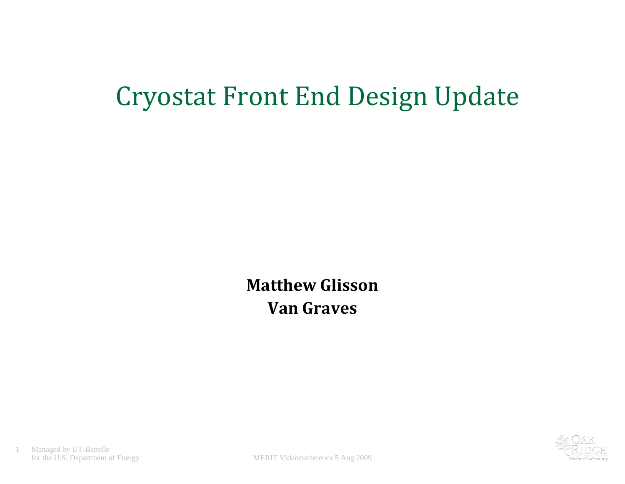# Cryostat Front End Design Update

**Matthew Glisson Van Graves**

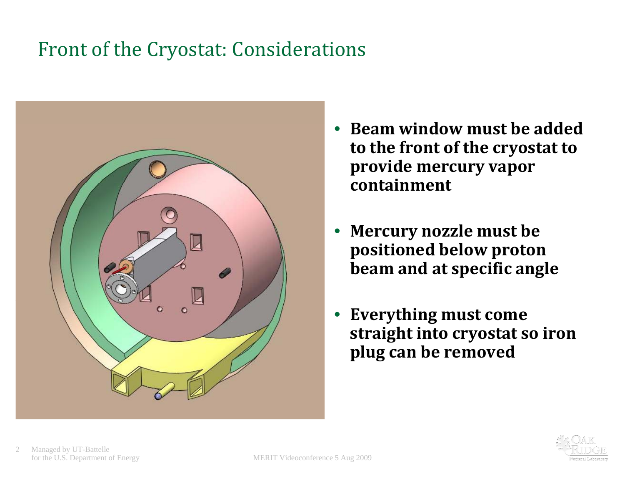### Front of the Cryostat: Considerations



- •**Beamwi dndow mus tbeadd dedto the front of the cryostat to provide mercury vapor containment**
- $\bullet$  **Mercury nozzle must be positioned below proton beam and at specific angle**
- $\bullet$  **Everything must come straight into cryostat so iron p g lu can be removed**

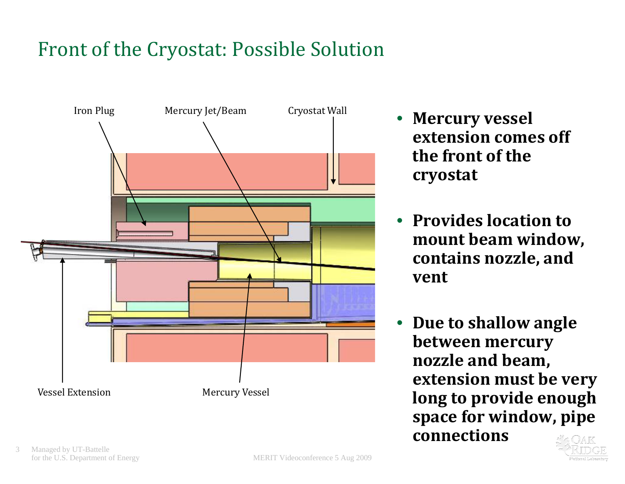# Front of the Cryostat: Possible Solution



- •**extension comes off the front of the cr yostat**
- **Provides location to mount beam window, contains nozzle, and vent**
- • **Due to shallow angle between mercury nozzle and beam, extension must be very long to provide enough space for window pipe window, connections**

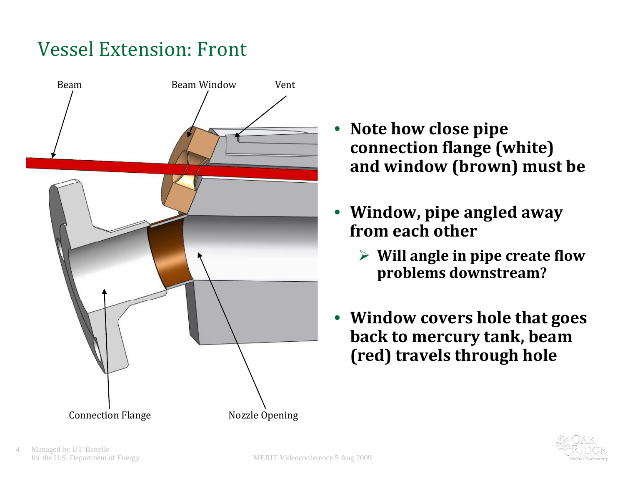# Vessel Extension: Front



- **N t h l i Note how close pipe** •**connection flange (white) and window (brown) must be**
- **Window, pipe angled away from each other**
	- **Will angle in pipe create flow problems downstream?**
- **Window covers hole that goes back to mercury tank, beam (red) travels through hole**

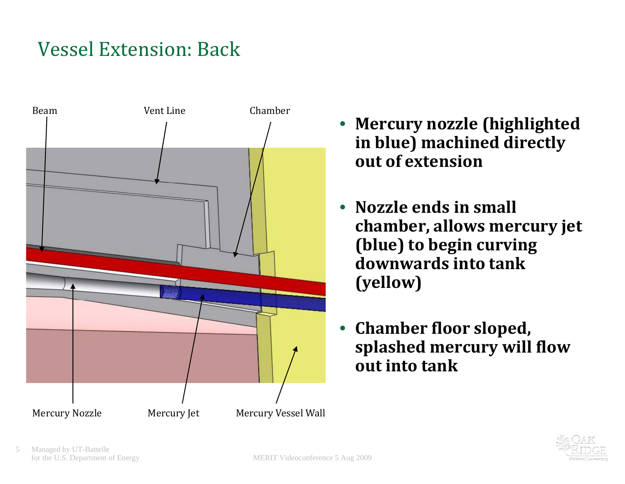# Vessel Extension: Back



- **Mercury nozzle (highlighted in blue) machined directly out of extension**
- **Nozzle ends in small chamber, allows mercury jet (bl ) ue to b i eg <sup>n</sup> curving downwards into tank(yellow)**
- $\bullet$  **Chamber floor sloped, splashed mercury will flow out into tank**

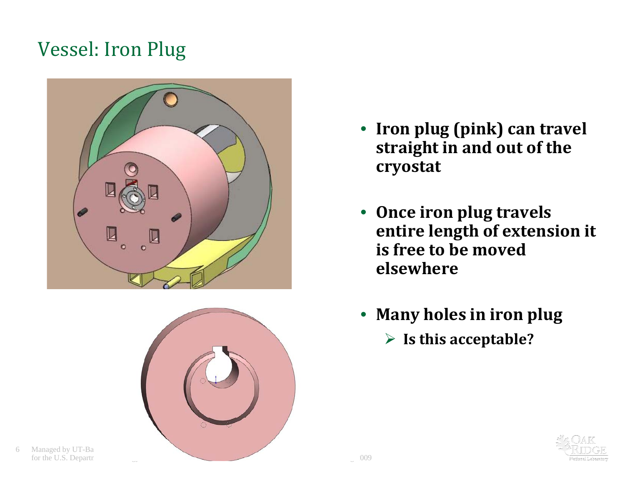#### Vessel: Iron Plug





6 Managed by UT-Ba

- **Iron plug ( i k) p <sup>n</sup> can <sup>t</sup> l rave straight in and out of the cryostat**
- **Once iron plug travels entire length of extension it is free to be movedelsewhere**
- **Many holes in iron plug Is this acceptable?**

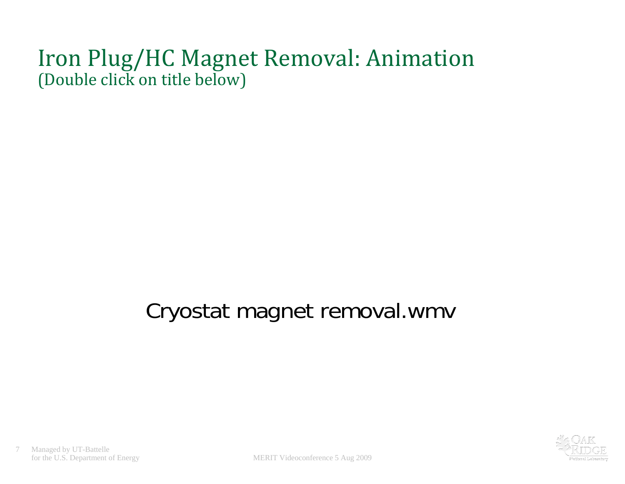#### Iron Plug/HC Magnet Removal: Animation (Double click on title below)

# Cryostat magnet removal.wmv

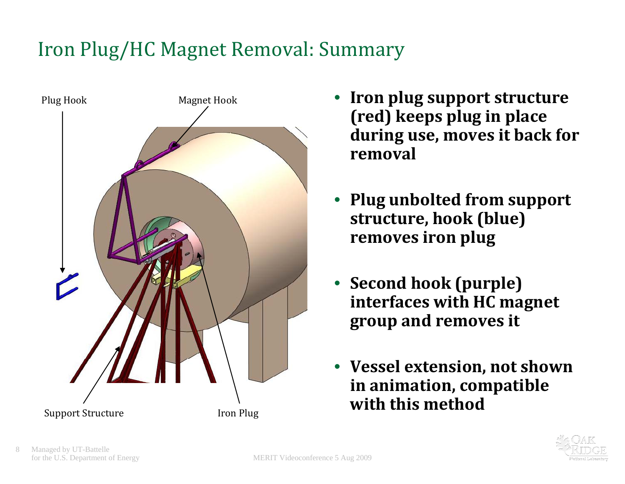# Iron Plug/HC Magnet Removal: Summary



- • **Iron plug support structure (red ) kee p s plu g in place ( p p during use, moves it back for removal**
- • **Plug unbolted from support structure, hook (blue) removes iron plug**
- **Second hook (purple) interfaces with HC magnet group and removes it**
- **Vessel extension, not shown in animation, compatible**

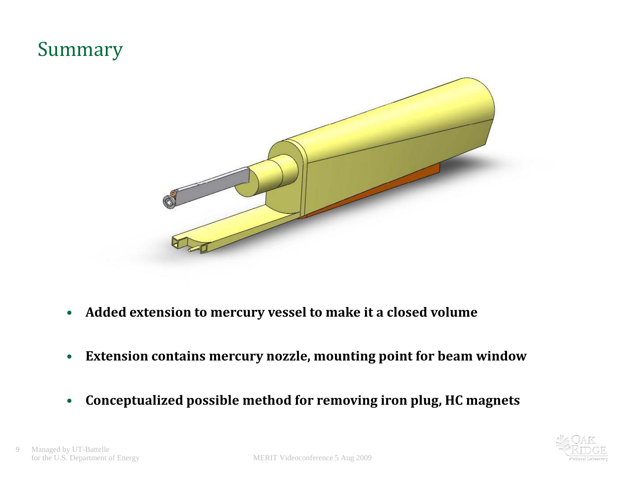#### Summary



- $\bullet$ **Added extension to mercury vessel to make it <sup>a</sup> closed volume**
- $\bullet$ **Extension contains mercury nozzle, mounting point for beam window**
- $\bullet$ **Conceptualized possible method for removing iron plug, HC magnets**